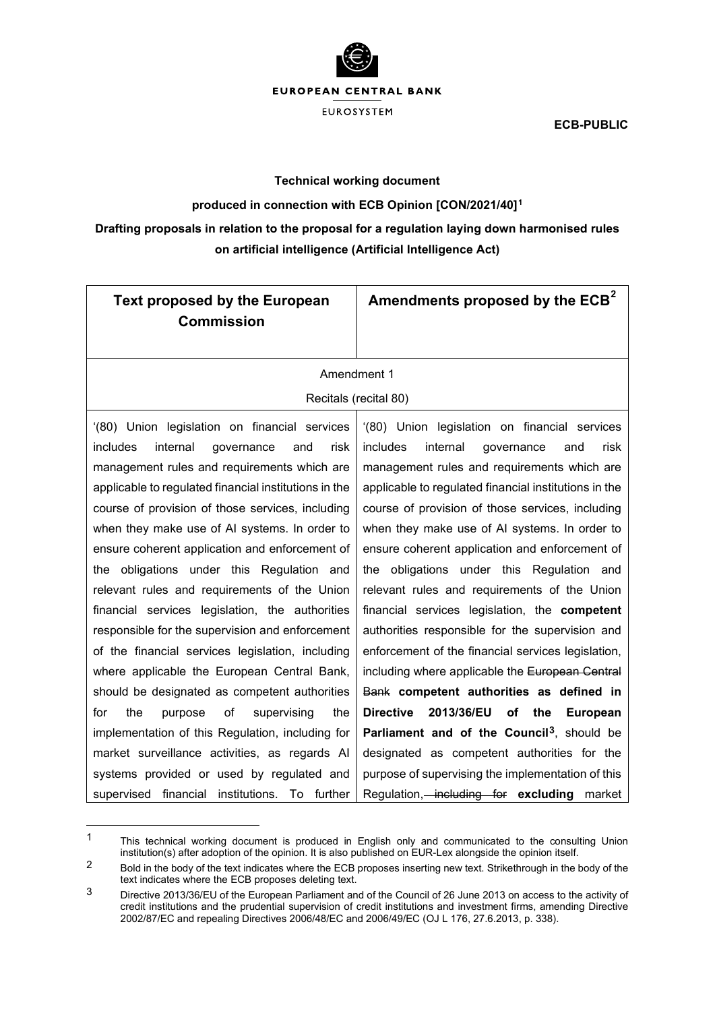

**ECB-PUBLIC**

#### **Technical working document**

#### **produced in connection with ECB Opinion [CON/2021/40][1](#page-0-0)**

**Drafting proposals in relation to the proposal for a regulation laying down harmonised rules on artificial intelligence (Artificial Intelligence Act)**

| Text proposed by the European | Amendments proposed by the ECB <sup>2</sup> |
|-------------------------------|---------------------------------------------|
| <b>Commission</b>             |                                             |
|                               |                                             |

Amendment 1

### Recitals (recital 80)

'(80) Union legislation on financial services includes internal governance and risk management rules and requirements which are applicable to regulated financial institutions in the course of provision of those services, including when they make use of AI systems. In order to ensure coherent application and enforcement of the obligations under this Regulation and relevant rules and requirements of the Union financial services legislation, the authorities responsible for the supervision and enforcement of the financial services legislation, including where applicable the European Central Bank, should be designated as competent authorities for the purpose of supervising the implementation of this Regulation, including for market surveillance activities, as regards AI systems provided or used by regulated and supervised financial institutions. To further

'(80) Union legislation on financial services includes internal governance and risk management rules and requirements which are applicable to regulated financial institutions in the course of provision of those services, including when they make use of AI systems. In order to ensure coherent application and enforcement of the obligations under this Regulation and relevant rules and requirements of the Union financial services legislation, the **competent** authorities responsible for the supervision and enforcement of the financial services legislation, including where applicable the European Central Bank **competent authorities as defined in Directive 2013/36/EU of the European Parliament and of the Council[3](#page-0-2)**, should be designated as competent authorities for the purpose of supervising the implementation of this Regulation, including for **excluding** market

<span id="page-0-0"></span><sup>1</sup> This technical working document is produced in English only and communicated to the consulting Union institution(s) after adoption of the opinion. It is also published on EUR-Lex alongside the opinion itself.

<span id="page-0-1"></span><sup>2</sup> Bold in the body of the text indicates where the ECB proposes inserting new text. Strikethrough in the body of the text indicates where the ECB proposes deleting text.

<span id="page-0-2"></span><sup>3</sup> Directive 2013/36/EU of the European Parliament and of the Council of 26 June 2013 on access to the activity of credit institutions and the prudential supervision of credit institutions and investment firms, amending Directive 2002/87/EC and repealing Directives 2006/48/EC and 2006/49/EC (OJ L 176, 27.6.2013, p. 338).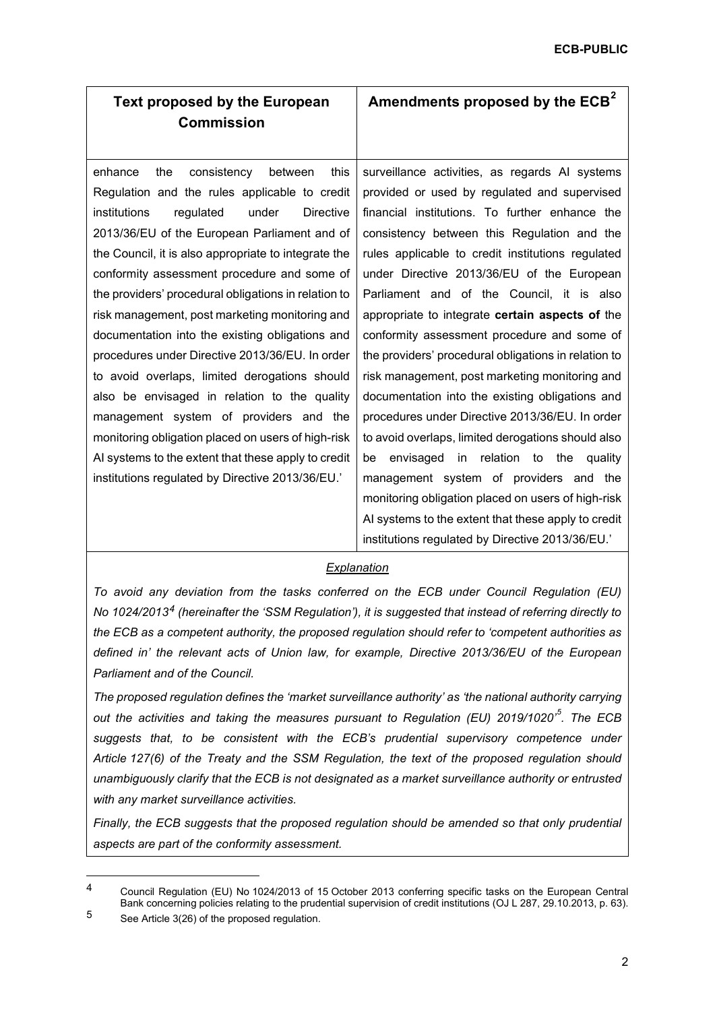| Text proposed by the European<br><b>Commission</b>                                             | Amendments proposed by the ECB <sup>2</sup>          |  |
|------------------------------------------------------------------------------------------------|------------------------------------------------------|--|
| consistency<br>this<br>enhance<br>the<br>between                                               | surveillance activities, as regards AI systems       |  |
| Regulation and the rules applicable to credit                                                  | provided or used by regulated and supervised         |  |
| regulated<br><b>Directive</b><br><i>institutions</i><br>under                                  | financial institutions. To further enhance the       |  |
| 2013/36/EU of the European Parliament and of                                                   | consistency between this Regulation and the          |  |
| the Council, it is also appropriate to integrate the                                           | rules applicable to credit institutions regulated    |  |
| conformity assessment procedure and some of                                                    | under Directive 2013/36/EU of the European           |  |
| the providers' procedural obligations in relation to                                           | Parliament and of the Council, it is also            |  |
| risk management, post marketing monitoring and                                                 | appropriate to integrate certain aspects of the      |  |
| documentation into the existing obligations and<br>conformity assessment procedure and some of |                                                      |  |
| procedures under Directive 2013/36/EU. In order                                                | the providers' procedural obligations in relation to |  |
| to avoid overlaps, limited derogations should                                                  | risk management, post marketing monitoring and       |  |
| also be envisaged in relation to the quality                                                   | documentation into the existing obligations and      |  |
| management system of providers and the                                                         | procedures under Directive 2013/36/EU. In order      |  |
| monitoring obligation placed on users of high-risk                                             | to avoid overlaps, limited derogations should also   |  |
| Al systems to the extent that these apply to credit                                            | envisaged in relation to the<br>quality<br>be        |  |
| institutions regulated by Directive 2013/36/EU.'                                               | management system of providers and the               |  |

monitoring obligation placed on users of high-risk AI systems to the extent that these apply to credit institutions regulated by Directive 2013/36/EU.'

### *Explanation*

*To avoid any deviation from the tasks conferred on the ECB under Council Regulation (EU) No 1024/2013[4](#page-1-0) (hereinafter the 'SSM Regulation'), it is suggested that instead of referring directly to the ECB as a competent authority, the proposed regulation should refer to 'competent authorities as defined in' the relevant acts of Union law, for example, Directive 2013/36/EU of the European Parliament and of the Council.*

*The proposed regulation defines the 'market surveillance authority' as 'the national authority carrying out the activities and taking the measures pursuant to Regulation (EU) 2019/1020' [5](#page-1-1) . The ECB suggests that, to be consistent with the ECB's prudential supervisory competence under Article 127(6) of the Treaty and the SSM Regulation, the text of the proposed regulation should unambiguously clarify that the ECB is not designated as a market surveillance authority or entrusted with any market surveillance activities.*

*Finally, the ECB suggests that the proposed regulation should be amended so that only prudential aspects are part of the conformity assessment.*

<span id="page-1-0"></span><sup>4</sup> Council Regulation (EU) No 1024/2013 of 15 October 2013 conferring specific tasks on the European Central Bank concerning policies relating to the prudential supervision of credit institutions (OJ L 287, 29.10.2013, p. 63).

<span id="page-1-1"></span><sup>5</sup> See Article 3(26) of the proposed regulation.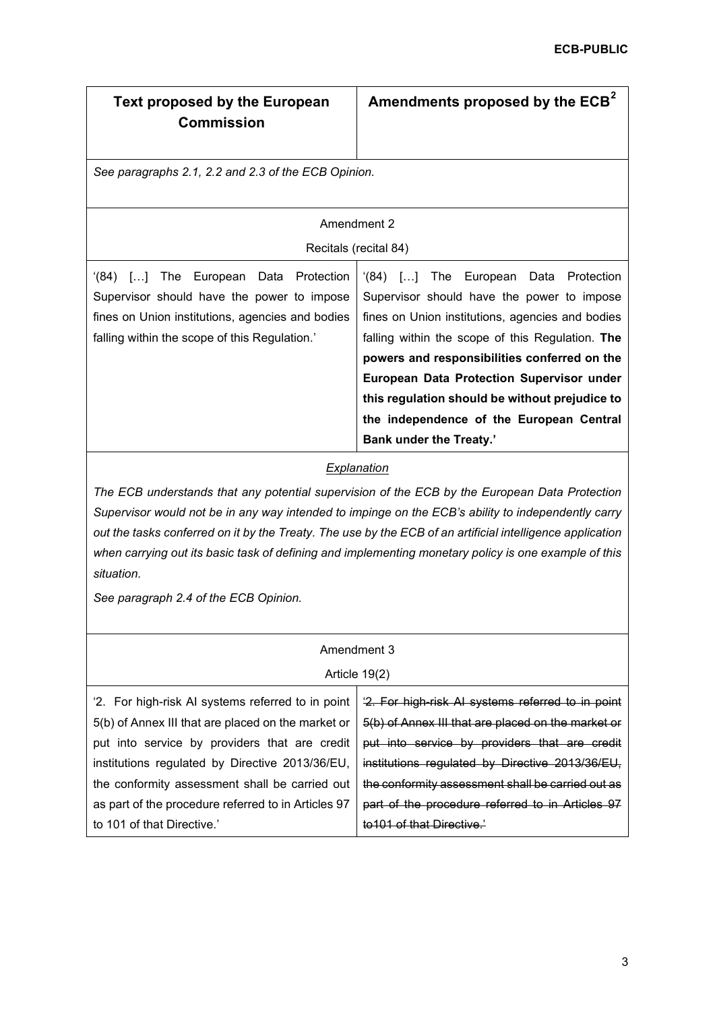| <b>Text proposed by the European</b><br><b>Commission</b>                                                                                                                                                                                                                                                                                                                                                                | Amendments proposed by the ECB <sup>2</sup>                                                                                                                                                                                                                                                                                                                                                                                                                      |  |  |
|--------------------------------------------------------------------------------------------------------------------------------------------------------------------------------------------------------------------------------------------------------------------------------------------------------------------------------------------------------------------------------------------------------------------------|------------------------------------------------------------------------------------------------------------------------------------------------------------------------------------------------------------------------------------------------------------------------------------------------------------------------------------------------------------------------------------------------------------------------------------------------------------------|--|--|
| See paragraphs 2.1, 2.2 and 2.3 of the ECB Opinion.                                                                                                                                                                                                                                                                                                                                                                      |                                                                                                                                                                                                                                                                                                                                                                                                                                                                  |  |  |
| Amendment 2                                                                                                                                                                                                                                                                                                                                                                                                              |                                                                                                                                                                                                                                                                                                                                                                                                                                                                  |  |  |
| Recitals (recital 84)                                                                                                                                                                                                                                                                                                                                                                                                    |                                                                                                                                                                                                                                                                                                                                                                                                                                                                  |  |  |
| Protection<br>(84)<br>The<br>European<br>Data<br>$\left[\ldots\right]$<br>Supervisor should have the power to impose<br>fines on Union institutions, agencies and bodies<br>falling within the scope of this Regulation.'                                                                                                                                                                                                | Protection<br>(84)<br>The<br>European<br>Data<br>$\left[\ldots\right]$<br>Supervisor should have the power to impose<br>fines on Union institutions, agencies and bodies<br>falling within the scope of this Regulation. The<br>powers and responsibilities conferred on the<br><b>European Data Protection Supervisor under</b><br>this regulation should be without prejudice to<br>the independence of the European Central<br><b>Bank under the Treaty.'</b> |  |  |
| Explanation                                                                                                                                                                                                                                                                                                                                                                                                              |                                                                                                                                                                                                                                                                                                                                                                                                                                                                  |  |  |
| The ECB understands that any potential supervision of the ECB by the European Data Protection<br>Supervisor would not be in any way intended to impinge on the ECB's ability to independently carry<br>out the tasks conferred on it by the Treaty. The use by the ECB of an artificial intelligence application<br>when carrying out its basic task of defining and implementing monetary policy is one example of this |                                                                                                                                                                                                                                                                                                                                                                                                                                                                  |  |  |

*situation.* 

*See paragraph 2.4 of the ECB Opinion.* 

| Amendment 3<br>Article 19(2)                        |                                                    |  |
|-----------------------------------------------------|----------------------------------------------------|--|
| '2. For high-risk AI systems referred to in point   | '2. For high-risk AI systems referred to in point  |  |
| 5(b) of Annex III that are placed on the market or  | 5(b) of Annex III that are placed on the market or |  |
| put into service by providers that are credit       | put into service by providers that are credit      |  |
| institutions regulated by Directive 2013/36/EU,     | institutions regulated by Directive 2013/36/EU,    |  |
| the conformity assessment shall be carried out      | the conformity assessment shall be carried out as  |  |
| as part of the procedure referred to in Articles 97 | part of the procedure referred to in Articles 97   |  |
| to 101 of that Directive.'                          | <u>' Al Af that Directive </u>                     |  |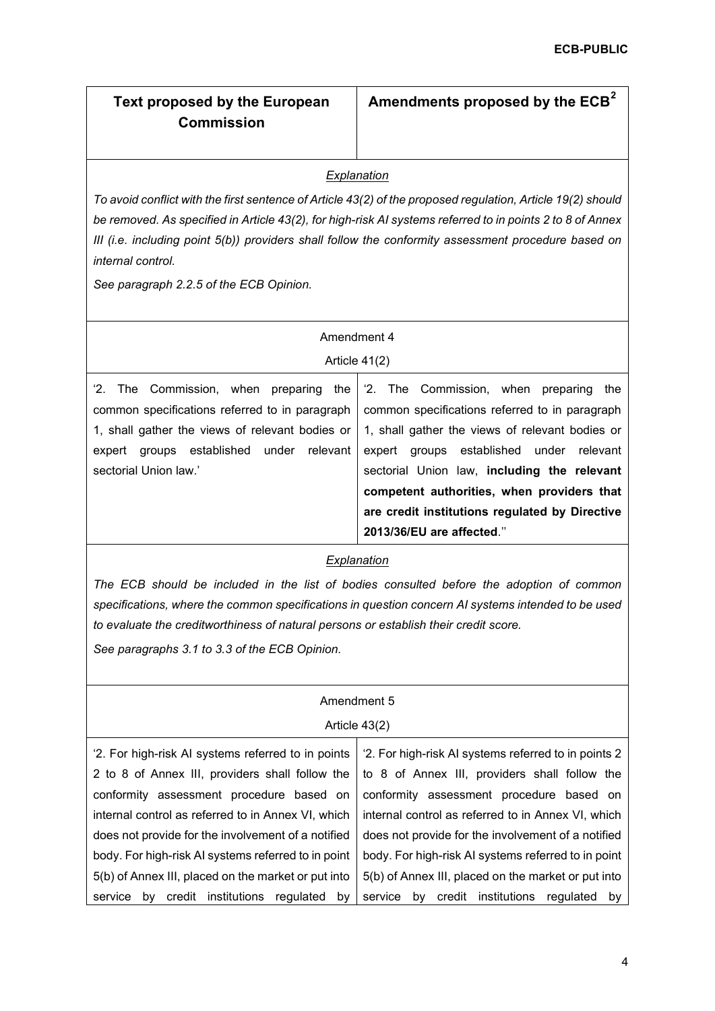| Text proposed by the European |  |
|-------------------------------|--|
| <b>Commission</b>             |  |

## *Explanation*

*To avoid conflict with the first sentence of Article 43(2) of the proposed regulation, Article 19(2) should be removed. As specified in Article 43(2), for high-risk AI systems referred to in points 2 to 8 of Annex III (i.e. including point 5(b)) providers shall follow the conformity assessment procedure based on internal control.* 

*See paragraph 2.2.5 of the ECB Opinion.*

# Amendment 4

### Article 41(2)

'2. The Commission, when preparing the common specifications referred to in paragraph 1, shall gather the views of relevant bodies or expert groups established under relevant sectorial Union law.'

'2. The Commission, when preparing the common specifications referred to in paragraph 1, shall gather the views of relevant bodies or expert groups established under relevant sectorial Union law, **including the relevant competent authorities, when providers that are credit institutions regulated by Directive 2013/36/EU are affected**.''

## *Explanation*

*The ECB should be included in the list of bodies consulted before the adoption of common specifications, where the common specifications in question concern AI systems intended to be used to evaluate the creditworthiness of natural persons or establish their credit score.* 

*See paragraphs 3.1 to 3.3 of the ECB Opinion.*

### Amendment 5

### Article 43(2)

| '2. For high-risk AI systems referred to in points  | '2. For high-risk AI systems referred to in points 2 |  |  |  |
|-----------------------------------------------------|------------------------------------------------------|--|--|--|
| 2 to 8 of Annex III, providers shall follow the     | to 8 of Annex III, providers shall follow the        |  |  |  |
| conformity assessment procedure based on            | conformity assessment procedure based on             |  |  |  |
| internal control as referred to in Annex VI, which  | internal control as referred to in Annex VI, which   |  |  |  |
| does not provide for the involvement of a notified  | does not provide for the involvement of a notified   |  |  |  |
| body. For high-risk AI systems referred to in point | body. For high-risk AI systems referred to in point  |  |  |  |
| 5(b) of Annex III, placed on the market or put into | 5(b) of Annex III, placed on the market or put into  |  |  |  |
| by credit institutions regulated<br>bv<br>service   | service by credit institutions<br>regulated<br>by    |  |  |  |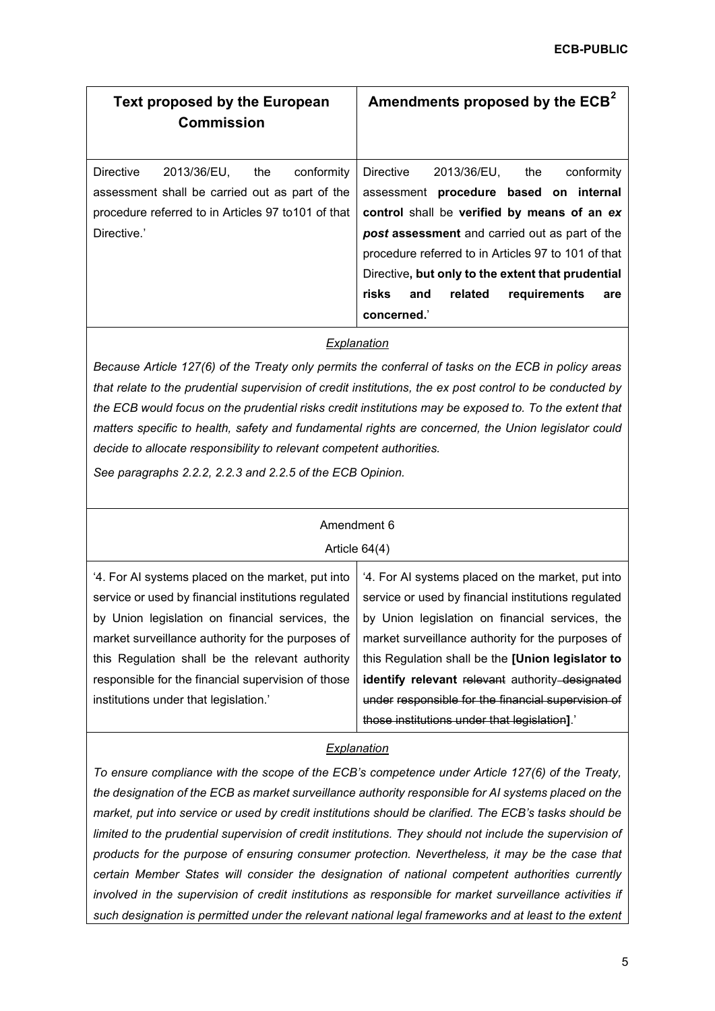| Text proposed by the European<br><b>Commission</b>   | Amendments proposed by the ECB <sup>2</sup>           |  |  |
|------------------------------------------------------|-------------------------------------------------------|--|--|
| <b>Directive</b><br>conformity<br>2013/36/EU.<br>the | <b>Directive</b><br>conformity<br>the<br>2013/36/EU.  |  |  |
| assessment shall be carried out as part of the       | assessment procedure based on internal                |  |  |
| procedure referred to in Articles 97 to 101 of that  | control shall be verified by means of an ex           |  |  |
| Directive.'                                          | <b>post assessment</b> and carried out as part of the |  |  |
|                                                      | procedure referred to in Articles 97 to 101 of that   |  |  |
|                                                      | Directive, but only to the extent that prudential     |  |  |
|                                                      | risks<br>related<br>requirements<br>and<br>are        |  |  |
|                                                      | concerned.'                                           |  |  |

### *Explanation*

*Because Article 127(6) of the Treaty only permits the conferral of tasks on the ECB in policy areas that relate to the prudential supervision of credit institutions, the ex post control to be conducted by the ECB would focus on the prudential risks credit institutions may be exposed to. To the extent that matters specific to health, safety and fundamental rights are concerned, the Union legislator could decide to allocate responsibility to relevant competent authorities.* 

*See paragraphs 2.2.2, 2.2.3 and 2.2.5 of the ECB Opinion.*

#### Amendment 6

#### Article 64(4)

'4. For AI systems placed on the market, put into service or used by financial institutions regulated by Union legislation on financial services, the market surveillance authority for the purposes of this Regulation shall be the relevant authority responsible for the financial supervision of those institutions under that legislation.'

'4. For AI systems placed on the market, put into service or used by financial institutions regulated by Union legislation on financial services, the market surveillance authority for the purposes of this Regulation shall be the **[Union legislator to identify relevant** relevant authority designated under responsible for the financial supervision of those institutions under that legislation**]**.'

#### *Explanation*

*To ensure compliance with the scope of the ECB's competence under Article 127(6) of the Treaty, the designation of the ECB as market surveillance authority responsible for AI systems placed on the market, put into service or used by credit institutions should be clarified. The ECB's tasks should be limited to the prudential supervision of credit institutions. They should not include the supervision of products for the purpose of ensuring consumer protection. Nevertheless, it may be the case that certain Member States will consider the designation of national competent authorities currently involved in the supervision of credit institutions as responsible for market surveillance activities if such designation is permitted under the relevant national legal frameworks and at least to the extent*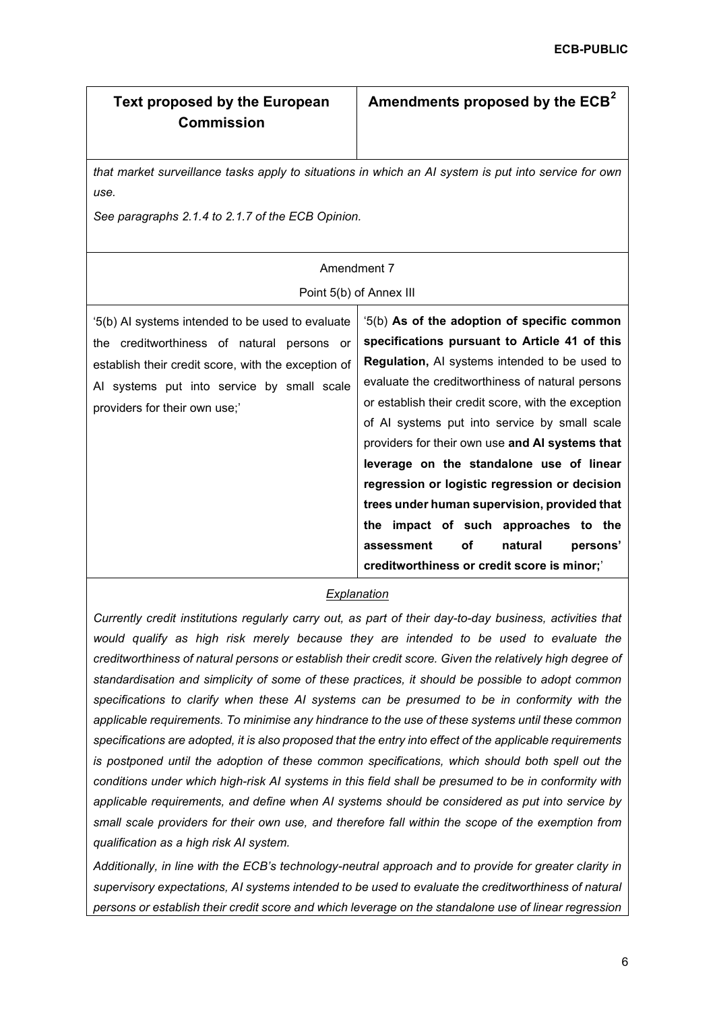# **Text proposed by the European Commission**

*that market surveillance tasks apply to situations in which an AI system is put into service for own use.* 

*See paragraphs 2.1.4 to 2.1.7 of the ECB Opinion.*

# Amendment 7

## Point 5(b) of Annex III

'5(b) AI systems intended to be used to evaluate the creditworthiness of natural persons or establish their credit score, with the exception of AI systems put into service by small scale providers for their own use;'

'5(b) **As of the adoption of specific common specifications pursuant to Article 41 of this Regulation,** AI systems intended to be used to evaluate the creditworthiness of natural persons or establish their credit score, with the exception of AI systems put into service by small scale providers for their own use **and AI systems that leverage on the standalone use of linear regression or logistic regression or decision trees under human supervision, provided that the impact of such approaches to the assessment of natural persons' creditworthiness or credit score is minor;**'

## *Explanation*

*Currently credit institutions regularly carry out, as part of their day-to-day business, activities that would qualify as high risk merely because they are intended to be used to evaluate the creditworthiness of natural persons or establish their credit score. Given the relatively high degree of standardisation and simplicity of some of these practices, it should be possible to adopt common specifications to clarify when these AI systems can be presumed to be in conformity with the applicable requirements. To minimise any hindrance to the use of these systems until these common specifications are adopted, it is also proposed that the entry into effect of the applicable requirements is postponed until the adoption of these common specifications, which should both spell out the conditions under which high-risk AI systems in this field shall be presumed to be in conformity with applicable requirements, and define when AI systems should be considered as put into service by small scale providers for their own use, and therefore fall within the scope of the exemption from qualification as a high risk AI system.* 

*Additionally, in line with the ECB's technology-neutral approach and to provide for greater clarity in supervisory expectations, AI systems intended to be used to evaluate the creditworthiness of natural persons or establish their credit score and which leverage on the standalone use of linear regression*